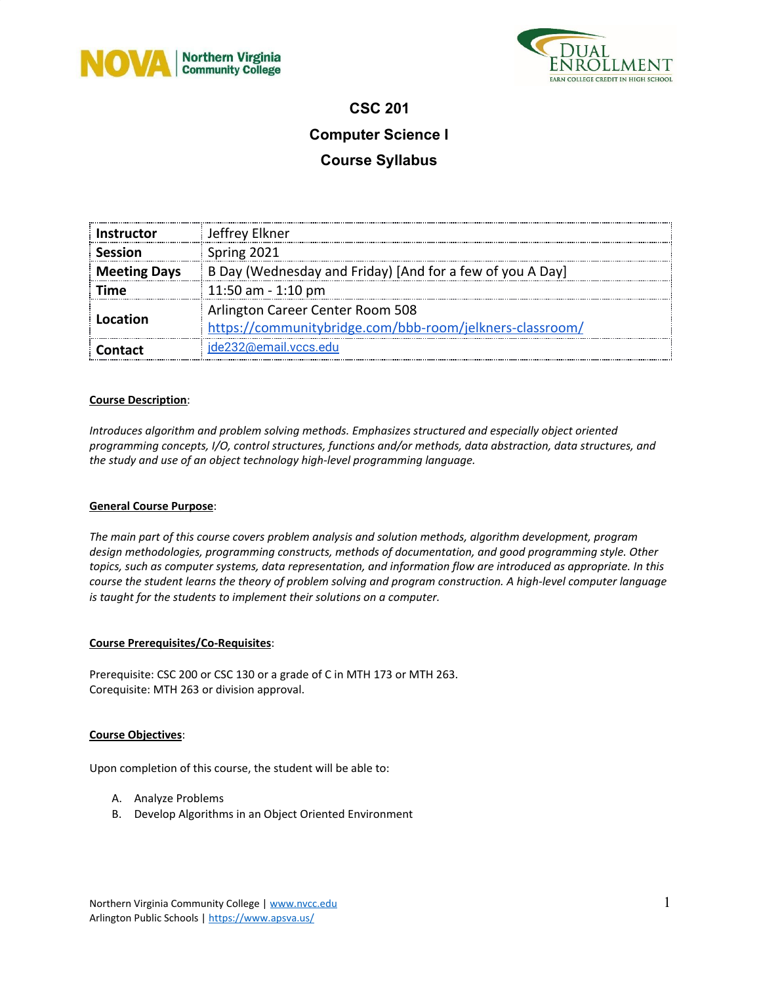



## **CSC 201 Computer Science I**

# **Course Syllabus**

| <b>Instructor</b>   | Jeffrey Elkner                                            |  |
|---------------------|-----------------------------------------------------------|--|
| <b>Session</b>      | Spring 2021                                               |  |
| <b>Meeting Days</b> | B Day (Wednesday and Friday) [And for a few of you A Day] |  |
| Time                | 11:50 am - 1:10 pm                                        |  |
|                     | Arlington Career Center Room 508                          |  |
| Location            | https://communitybridge.com/bbb-room/jelkners-classroom/  |  |
| <b>Contact</b>      | jde232@email.vccs.edu                                     |  |

### **Course Description**:

*Introduces algorithm and problem solving methods. Emphasizes structured and especially object oriented programming concepts, I/O, control structures, functions and/or methods, data abstraction, data structures, and the study and use of an object technology high-level programming language.*

#### **General Course Purpose**:

*The main part of this course covers problem analysis and solution methods, algorithm development, program design methodologies, programming constructs, methods of documentation, and good programming style. Other* topics, such as computer systems, data representation, and information flow are introduced as appropriate. In this *course the student learns the theory of problem solving and program construction. A high-level computer language is taught for the students to implement their solutions on a computer.*

### **Course Prerequisites/Co-Requisites**:

Prerequisite: CSC 200 or CSC 130 or a grade of C in MTH 173 or MTH 263. Corequisite: MTH 263 or division approval.

#### **Course Objectives**:

Upon completion of this course, the student will be able to:

- A. Analyze Problems
- B. Develop Algorithms in an Object Oriented Environment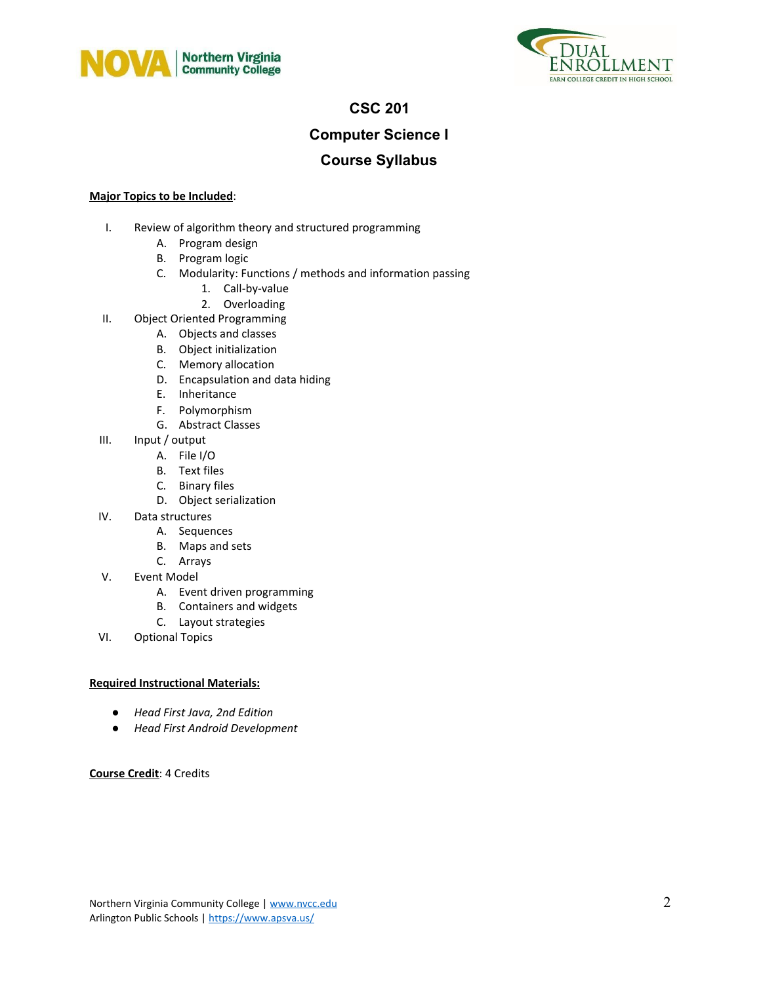



## **CSC 201**

## **Computer Science I**

## **Course Syllabus**

### **Major Topics to be Included**:

- I. Review of algorithm theory and structured programming
	- A. Program design
	- B. Program logic
	- C. Modularity: Functions / methods and information passing
		- 1. Call-by-value
		- 2. Overloading
- II. Object Oriented Programming
	- A. Objects and classes
	- B. Object initialization
	- C. Memory allocation
	- D. Encapsulation and data hiding
	- E. Inheritance
	- F. Polymorphism
	- G. Abstract Classes
- III. Input / output
	- A. File I/O
	- B. Text files
	- C. Binary files
	- D. Object serialization
- IV. Data structures
	- A. Sequences
	- B. Maps and sets
	- C. Arrays
- V. Event Model
	- A. Event driven programming
	- B. Containers and widgets
	- C. Layout strategies
- VI. Optional Topics

### **Required Instructional Materials:**

- *● Head First Java, 2nd Edition*
- *● Head First Android Development*

### **Course Credit**: 4 Credits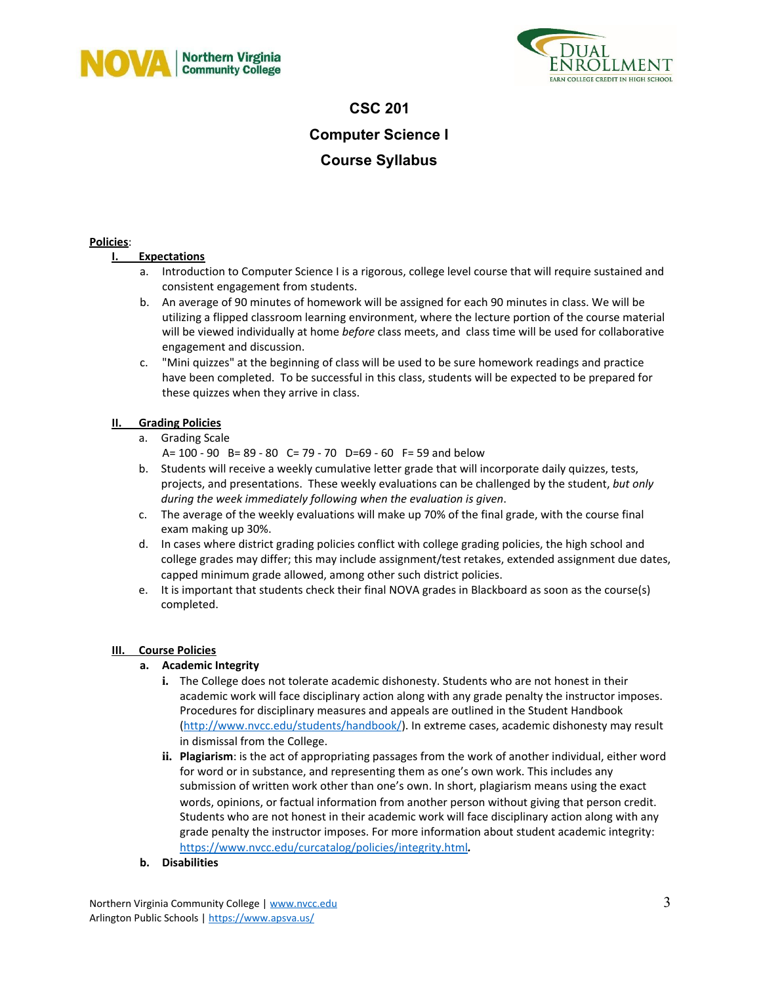



# **CSC 201 Computer Science I Course Syllabus**

### **Policies**:

### **I. Expectations**

- a. Introduction to Computer Science I is a rigorous, college level course that will require sustained and consistent engagement from students.
- b. An average of 90 minutes of homework will be assigned for each 90 minutes in class. We will be utilizing a flipped classroom learning environment, where the lecture portion of the course material will be viewed individually at home *before* class meets, and class time will be used for collaborative engagement and discussion.
- c. "Mini quizzes" at the beginning of class will be used to be sure homework readings and practice have been completed. To be successful in this class, students will be expected to be prepared for these quizzes when they arrive in class.

### **II. Grading Policies**

- a. Grading Scale
	- A= 100 90 B= 89 80 C= 79 70 D=69 60 F= 59 and below
- b. Students will receive a weekly cumulative letter grade that will incorporate daily quizzes, tests, projects, and presentations. These weekly evaluations can be challenged by the student, *but only during the week immediately following when the evaluation is given*.
- c. The average of the weekly evaluations will make up 70% of the final grade, with the course final exam making up 30%.
- d. In cases where district grading policies conflict with college grading policies, the high school and college grades may differ; this may include assignment/test retakes, extended assignment due dates, capped minimum grade allowed, among other such district policies.
- e. It is important that students check their final NOVA grades in Blackboard as soon as the course(s) completed.

### **III. Course Policies**

### **a. Academic Integrity**

- **i.** The College does not tolerate academic dishonesty. Students who are not honest in their academic work will face disciplinary action along with any grade penalty the instructor imposes. Procedures for disciplinary measures and appeals are outlined in the Student Handbook (<http://www.nvcc.edu/students/handbook/>). In extreme cases, academic dishonesty may result in dismissal from the College.
- **ii. Plagiarism**: is the act of appropriating passages from the work of another individual, either word for word or in substance, and representing them as one's own work. This includes any submission of written work other than one's own. In short, plagiarism means using the exact words, opinions, or factual information from another person without giving that person credit. Students who are not honest in their academic work will face disciplinary action along with any grade penalty the instructor imposes. For more information about student academic integrity: <https://www.nvcc.edu/curcatalog/policies/integrity.html>*.*
- **b. Disabilities**